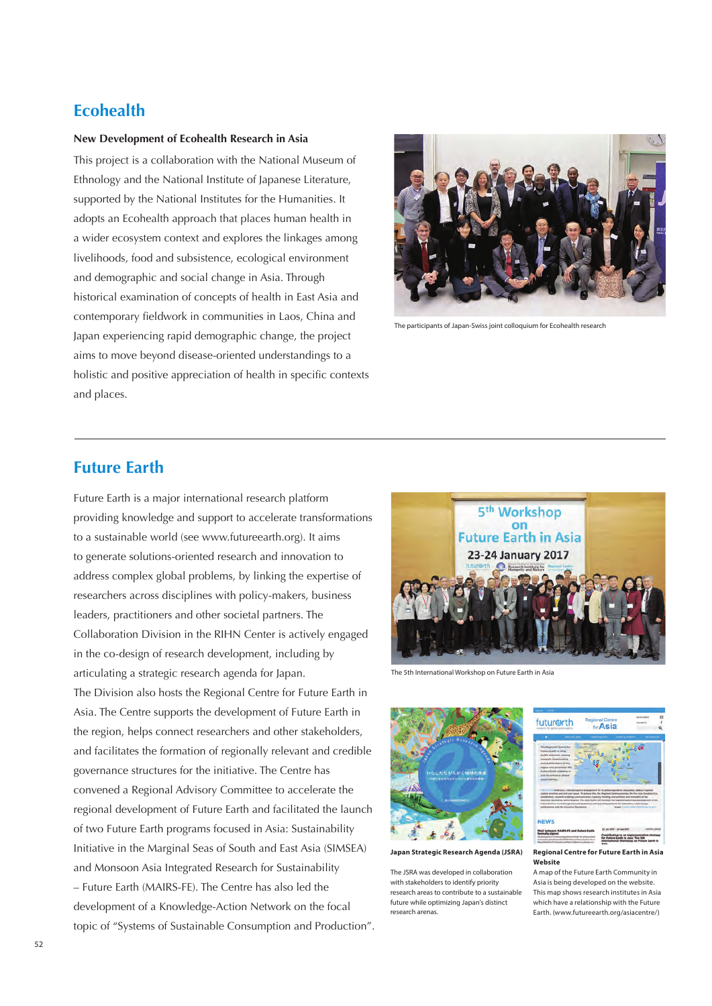# **Ecohealth**

# **New Development of Ecohealth Research in Asia**

This project is a collaboration with the National Museum of Ethnology and the National Institute of Japanese Literature, supported by the National Institutes for the Humanities. It adopts an Ecohealth approach that places human health in a wider ecosystem context and explores the linkages among livelihoods, food and subsistence, ecological environment and demographic and social change in Asia. Through historical examination of concepts of health in East Asia and contemporary fieldwork in communities in Laos, China and Japan experiencing rapid demographic change, the project aims to move beyond disease-oriented understandings to a holistic and positive appreciation of health in specific contexts and places.



The participants of Japan-Swiss joint colloquium for Ecohealth research

# **Future Earth**

Future Earth is a major international research platform providing knowledge and support to accelerate transformations to a sustainable world (see www.futureearth.org). It aims to generate solutions-oriented research and innovation to address complex global problems, by linking the expertise of researchers across disciplines with policy-makers, business leaders, practitioners and other societal partners. The Collaboration Division in the RIHN Center is actively engaged in the co-design of research development, including by articulating a strategic research agenda for Japan. The Division also hosts the Regional Centre for Future Earth in Asia. The Centre supports the development of Future Earth in the region, helps connect researchers and other stakeholders, and facilitates the formation of regionally relevant and credible governance structures for the initiative. The Centre has convened a Regional Advisory Committee to accelerate the regional development of Future Earth and facilitated the launch of two Future Earth programs focused in Asia: Sustainability Initiative in the Marginal Seas of South and East Asia (SIMSEA) and Monsoon Asia Integrated Research for Sustainability – Future Earth (MAIRS-FE). The Centre has also led the development of a Knowledge-Action Network on the focal topic of "Systems of Sustainable Consumption and Production".



The 5th International Workshop on Future Earth in Asia



**Japan Strategic Research Agenda (JSRA)** 

The JSRA was developed in collaboration with stakeholders to identify priority research areas to contribute to a sustainable future while optimizing Japan's distinct **arch arenas** 



A map of the Future Earth Community in Asia is being developed on the website. This map shows research institutes in Asia which have a relationship with the Future Earth. (www.futureearth.org/asiacentre/)